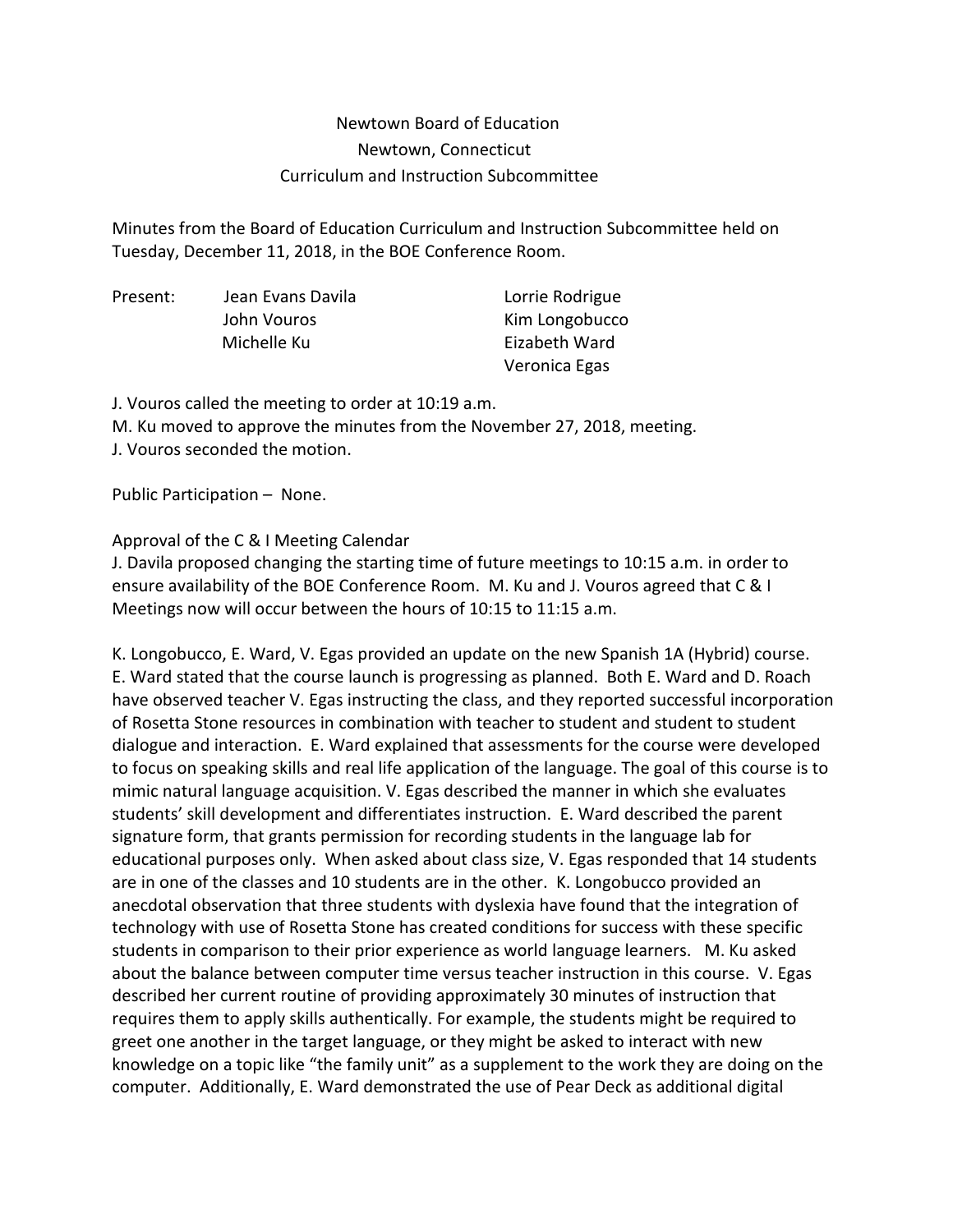## Newtown Board of Education Newtown, Connecticut Curriculum and Instruction Subcommittee

Minutes from the Board of Education Curriculum and Instruction Subcommittee held on Tuesday, December 11, 2018, in the BOE Conference Room.

Present: Jean Evans Davila Lorrie Rodrigue Michelle Ku **Eizabeth Ward** 

John Vouros **Kim Longobucco** Veronica Egas

J. Vouros called the meeting to order at 10:19 a.m.

M. Ku moved to approve the minutes from the November 27, 2018, meeting.

J. Vouros seconded the motion.

Public Participation – None.

Approval of the C & I Meeting Calendar

J. Davila proposed changing the starting time of future meetings to 10:15 a.m. in order to ensure availability of the BOE Conference Room. M. Ku and J. Vouros agreed that C & I Meetings now will occur between the hours of 10:15 to 11:15 a.m.

K. Longobucco, E. Ward, V. Egas provided an update on the new Spanish 1A (Hybrid) course. E. Ward stated that the course launch is progressing as planned. Both E. Ward and D. Roach have observed teacher V. Egas instructing the class, and they reported successful incorporation of Rosetta Stone resources in combination with teacher to student and student to student dialogue and interaction. E. Ward explained that assessments for the course were developed to focus on speaking skills and real life application of the language. The goal of this course is to mimic natural language acquisition. V. Egas described the manner in which she evaluates students' skill development and differentiates instruction. E. Ward described the parent signature form, that grants permission for recording students in the language lab for educational purposes only. When asked about class size, V. Egas responded that 14 students are in one of the classes and 10 students are in the other. K. Longobucco provided an anecdotal observation that three students with dyslexia have found that the integration of technology with use of Rosetta Stone has created conditions for success with these specific students in comparison to their prior experience as world language learners. M. Ku asked about the balance between computer time versus teacher instruction in this course. V. Egas described her current routine of providing approximately 30 minutes of instruction that requires them to apply skills authentically. For example, the students might be required to greet one another in the target language, or they might be asked to interact with new knowledge on a topic like "the family unit" as a supplement to the work they are doing on the computer. Additionally, E. Ward demonstrated the use of Pear Deck as additional digital